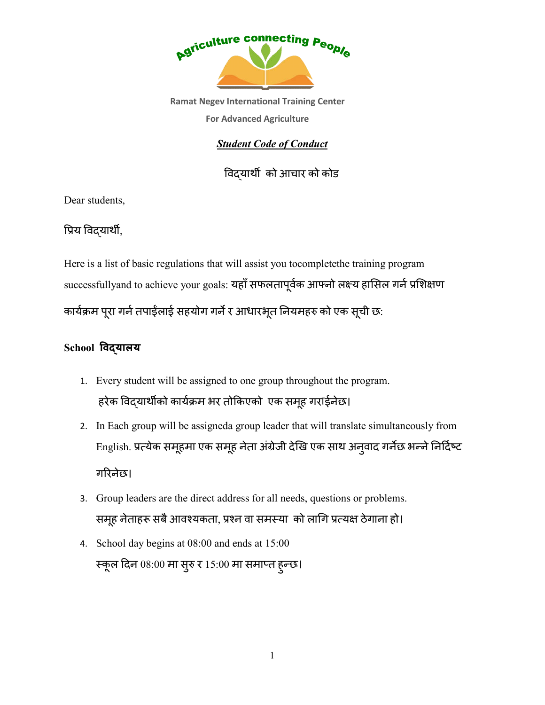

### *Student Code of Conduct*

विदयार्थी को आचार को कोड

Dear students,

प्रिय विदयार्थी,

Here is a list of basic regulations that will assist you tocompletethe training program successfullyand to achieve your goals: यहाँ सफलतापूर्वक आफ्नो लक्ष्य हासिल गर्न प्रशिक्षण कार्यक्रम पूरा गर्न तपाईलाई सहयोग गर्ने र आधारभूत नियमहरु को एक सूची छ:

### **School वयालय**

- 1. Every student will be assigned to one group throughout the program. हरेक विद्यार्थीको कार्यक्रम भर तोकिएको एक समूह गराईनेछ।
- 2. In Each group will be assigneda group leader that will translate simultaneously from English. प्रत्येक समूहमा एक समूह नेता अंग्रेजी देखि एक साथ अनुवाद गर्नेछ भन्ने निर्दिष्ट गरनेछ।
- 3. Group leaders are the direct address for all needs, questions or problems. समूह नेताहरू सबै आवश्यकता, प्रश्न वा समस्या को लागि प्रत्यक्ष ठेगाना हो।
- 4. School day begins at 08:00 and end ends at 15:00 स्कूल दिन 08:00 मा सुरु र 15:00 मा समाप्त हुन्छ।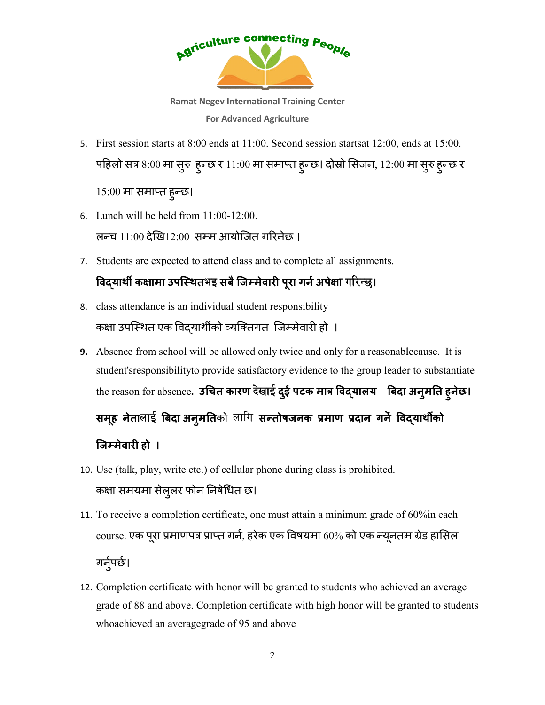

- 5. First session starts at 8:00 ends at 11:00. Second session startsat 12:00, ends at 15:00. पहिलो सत्र 8:00 मा सुरु हुन्छ र 11:00 मा समाप्त हुन्छ। दोस्रो सिजन, 12:00 मा सुरु हुन्छ र 15:00 मा समात हु छ।
- 6. Lunch will be held from 11 11:00-12:00. लच 11:00 देख12:00 सम आयोिजत गरनेछ ।
- 7. Students are expected to attend class and to complete all assignments.

# विद्**यार्थी कक्षामा उपस्थितभइ सबै जिम्मेवारी** पूरा गर्न अपेक्षा गरिन्छ।

- 8. class attendance is an individual student responsibility कक्षा उपस्थित एक विद्यार्थीको व्यक्तिगत जिम्मेवारी हो ।
- **9.** Absence from school will be allowed only twice and only for a reasonablecause. It is student'sresponsibilityto provide satisfactory evidence to the group leader to substantiate the reason for absence**. उचत कारण** b]vFO{ **दईु पटक मा वयालय बदा अनु मत हु नेछ।**

**समू ह नेता**nFO{ **बदा अनु मत** को nFlu **सतोषजनक माण दान गन**] **वयाथको**

## **िजमेवार हो ।**

- 10. Use (talk, play, write etc.) of cellular phone during class is prohibited. कक्षा समयमा सेलुलर फोन निर्षधित छ।
- 11. To receive a completion certificate, one must attain a minimum grade of 60% 60%in each course. एक पूरा प्रमाणपत्र प्राप्त गर्ने, हरेक एक विषयमा 60% को एक न्यूनतम ग्रेड हासिल गनुपछ।
- 12. Completion certificate with honor will be granted to students who achieved an average grade of 88 and above. Completion certificate with high honor will be granted to students whoachieved an averagegrade of 95 and above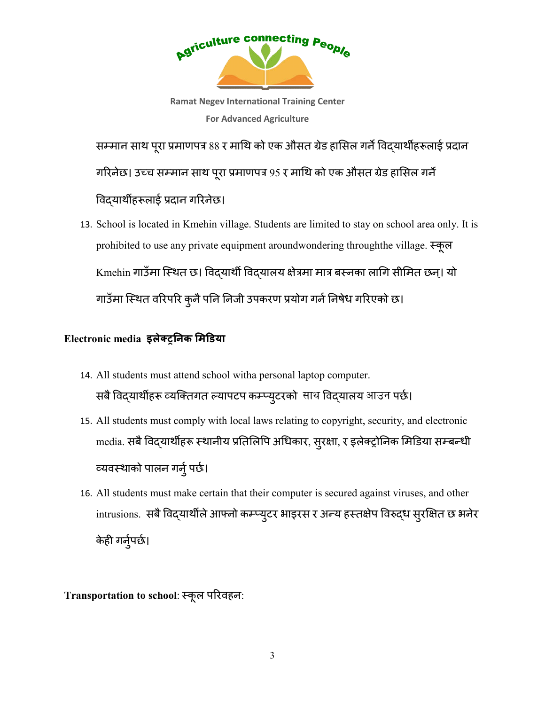

सम्मान साथ पूरा प्रमाणपत्र 88 र माथि को एक औसत ग्रेड हासिल गर्ने विद्यार्थीहरूलाई प्रदान गरिनेछ। उच्च सम्मान साथ पूरा प्रमाणपत्र 95 र माथि को एक औसत ग्रेड हासिल गर्ने वयाथहलाई दान गरनेछ।

13. School is located in Kmehin village. Students are limited to stay on school area only. It is prohibited to use any private equipment aroundwondering throughthe village. स्कूल Kmehin गाउँमा स्थित छ। विद्यार्थी विद्यालय क्षेत्रमा मात्र बस्नका लागि सीमित छन्। यो गाउँमा स्थित वरिपरि कुनै पनि निजी उपकरण प्रयोग गर्ने निषेध गरिएको छ।

### **Electronic media इलेनक मडया**

- 14. All students must attend school witha personal laptop computer. सबै विद्यार्थीहरू व्यक्तिगत ल्यापटप कम्प्युटरको साथ विद्यालय आउन पछे।
- 15. All students must comply with local laws relating to copyright, security, and electronic , media. सबै विद्यार्थीहरू स्थानीय प्रतिलिपि अधिकार, सुरक्षा, र इलेक्ट्रोनिक मिडिया सम्बन्धी यवथाको पालन गनुपछ। पछ।
- 16. All students must make certain that their computer is secured against viruses, and other intrusions. सबै विद्यार्थीले आफ्नो कम्प्युटर भाइरस र अन्य हस्तक्षेप विरुद्ध सुरक्षित छ भनेर केही गर्नुपर्छ।

**Transportation to school**: कूल परवहन: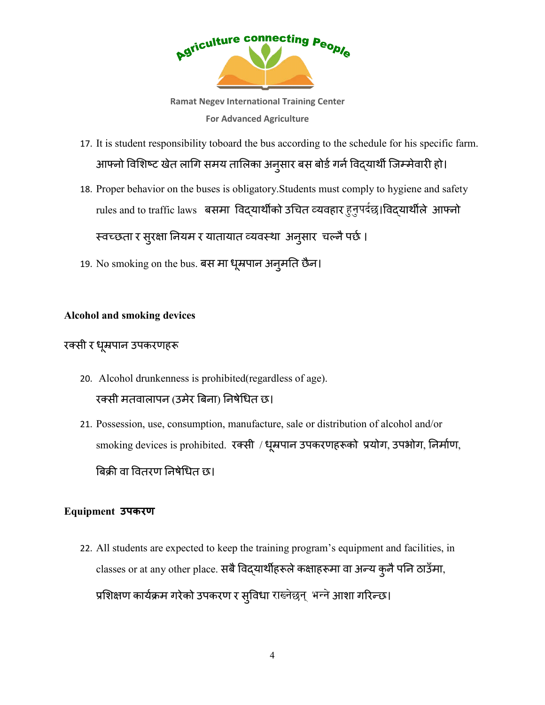

- 17. It is student responsibility toboard the bus according to the schedule for his specific farm. आफ्नो विशिष्ट खेत लागि समय तालिका अनुसार बस बोर्ड गर्ने विद्यार्थी जिम्मेवारी हो।
- 18. Proper behavior on the buses is obligatory.Students must comply to hygiene and safety rules and to traffic laws बसमा विद्यार्थीको उचित व्यवहार हुनुपदंछ।विद्यार्थीले आफ्नो स्वच्छता र सुरक्षा नियम र यातायात व्यवस्था अनुसार चल्नै पर्छ ।
- 19. No smoking on the bus. बस मा धूम्रपान अनुमति छैन।

#### **Alcohol and smoking devices**

#### रक्सी र धूम्रपान उपकरणहरू

- 20. Alcohol drunkenness is prohibited(regardless of age). रसी मतवालापन (उमेर बना ) नषेधत छ।
- 21. Possession, use, consumption, manufacture, sale or distribution of alcohol and/or Possession, use, consumption, manufacture, sale or distribution of alcohol and/or<br>smoking devices is prohibited. रक्सी / धूम्रपान उपकरणहरूको प्रयोग, उपभोग, निर्माण, बिक्री वा वितरण निषेधित छ।

#### **Equipment उपकरण**

22. All students are expected to keep the training program's equipment and facilities, in All students classes or at any other place. सबै विद्यार्थीहरूले कक्षाहरूमा वा अन्य कुनै पनि ठाउँमा, प्रशिक्षण कार्यक्रम गरेको उपकरण र सुविधा राख्नेछन् भन्ने आशा गरिन्छ।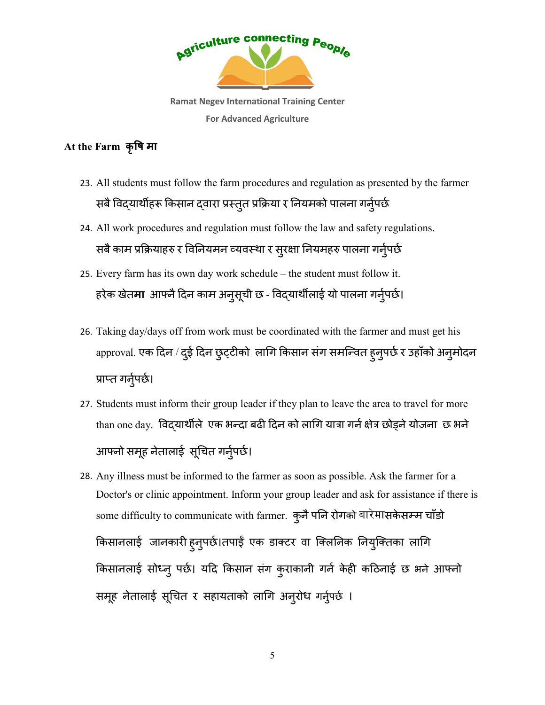

## **At the Farm कृष मा**

- 23. All students must follow the farm procedures and regulation as presented by the farmer सबै विद्यार्थहिरू किसान दवारा प्रस्तुत प्रक्रिया र नियमको पालना गर्नुपर्छ
- 24. All work procedures and regulation must follow the law and safety regulations. सबै काम प्रक्रियाहरु र विनियमन व्यवस्था र सुरक्षा नियमहरु पालना गर्नुपर्छ
- 25. Every farm has its own day work schedule the student must follow it. हरेक खेत**मा** आफ्नै दिन काम अनुसूची छ - विद्याथीलाई यो पालना गर्नुपछे।
- 26. Taking day/days off from work must be coordinated with the farmer and must get his approval. एक दिन / दुई दिन छुट्टीको लागि किसान सग समन्वित हुनुपर्छ र उहाँको अनुमोदन प्राप्त गर्नुपर्छ।
- 27. Students must inform their group leader if they plan to leave the area to travel for more than one day. विद्याथीले एक भन्दा बढी दिन को लागि यात्रा गर्न क्षेत्र छोड्ने योजना छ भने आनो समू ह नेतालाई सूचत गनुपछ।
- 28. Any illness must be informed to the farmer as soon as possible. Ask the farmer for a Doctor's or clinic appointment. Inform your group leader and ask for assistance if there is some difficulty to communicate with farmer. कुनै पनि रोगको बारमासकेसम्म चाँडो किसानलाई जानकारी हुनुपर्छ।तपाई एक डाक्टर वा क्लिनिक नियुक्तिका लागि किसानलाई सोध्नु पर्छ। यदि किसान संग कुराकानी गर्न केही कठिनाई छ भने आफ्नो समूह नेतालाई सूचित र सहायताको लागि अनुरोध गर्नुपर्छ ।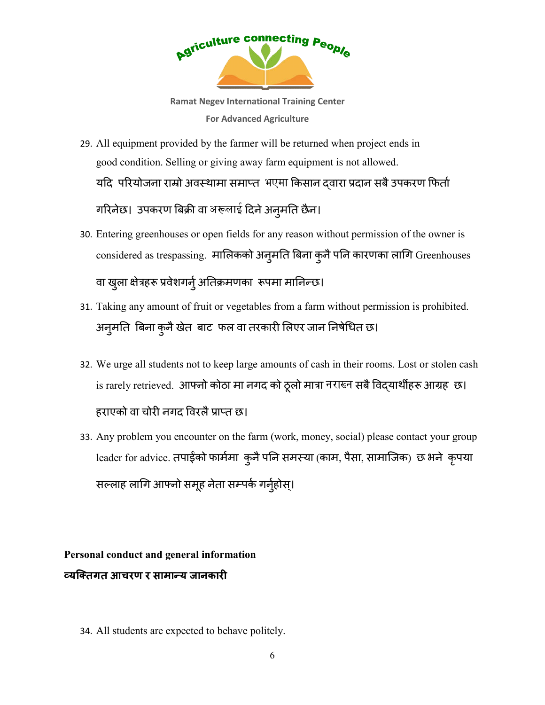

- 29. All equipment provided by the farmer will be returned when project ends in good condition. Selling or giving away farm equipment is not allowed. यदि परियोजना राम्रो अवस्थामा समाप्त भएमा किसान द्वारा प्रदान सबै उपकरण फितो गरिनेछ। उपकरण बिक्री वा अरूलाई दिने अनुमति छैन।
- 30. Entering greenhouses or open fields for any reason without permission of the owner is considered as trespassing. मालिकको अनुमति बिना कुनै पनि कारणका लागि Greenhouses वा खुला क्षेत्रहरू प्रवेशगनुं अतिक्रमणका रूपमा मानिन्छ।
- 31. Taking any amount of fruit or vegetables from a farm without permission is prohibited. अनुमति बिना कुनै खेत बाट फल वा तरकारी लिएर जान निर्षधित छ।
- 32. We urge all students not to keep large amounts of cash in their rooms. Lost or stolen cash is rarely retrieved. आफ्नो कोठा मा नगद को ठूलो मात्रा नराख्न सबै विद्यार्थीहरू आग्रह छ। हराएको वा चोरी नगद विरलै प्राप्त छ।
- 33. Any problem you encounter on the farm (work, money, social) please contact your group Any problem you encounter on the farm (work, money, social) please contact your grou<sub>l</sub><br>leader for advice. तपाईको फार्ममा कुनै पनि समस्या (काम, पैसा, सामाजिक) छ भने कृपया सल्लाह लागि आफ्नो समूह नेता सम्पर्क गर्नुहोस्।

# **Personal conduct and general information यितगत आचरण र सामाय जानकार**

34. All students are expected to behave politely.